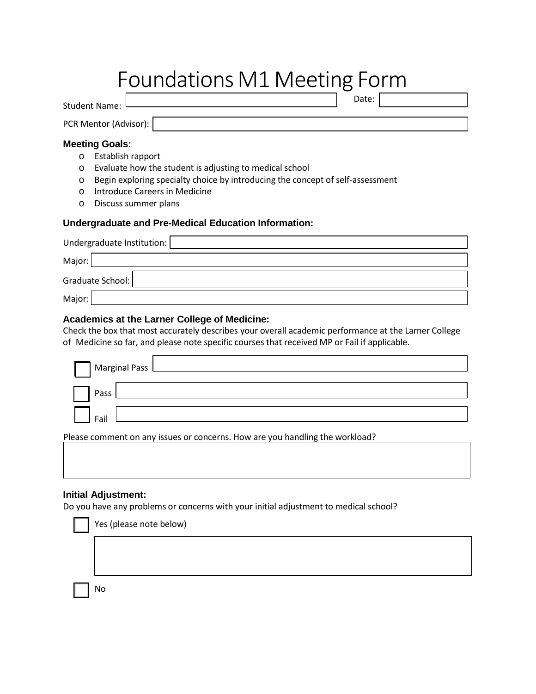# Foundations M1 Meeting Form

Student Name: Date:

PCR Mentor (Advisor):

## **Meeting Goals:**

- o Establish rapport
- o Evaluate how the student is adjusting to medical school
- o Begin exploring specialty choice by introducing the concept of self-assessment
- o Introduce Careers in Medicine
- o Discuss summer plans

# **Undergraduate and Pre-Medical Education Information:**

| Undergraduate Institution: |  |  |
|----------------------------|--|--|
| Major:                     |  |  |
| Graduate School:           |  |  |
| Major:                     |  |  |

## **Academics at the Larner College of Medicine:**

Check the box that most accurately describes your overall academic performance at the Larner College of Medicine so far, and please note specific courses that received MP or Fail if applicable.

| $\vert$ Marginal Pass $\vert$ |  |  |
|-------------------------------|--|--|
|                               |  |  |
| Pass                          |  |  |
|                               |  |  |
| Fail                          |  |  |

Please comment on any issues or concerns. How are you handling the workload?

### **Initial Adjustment:**

Do you have any problems or concerns with your initial adjustment to medical school?

| Yes (please note below) |
|-------------------------|
|                         |

No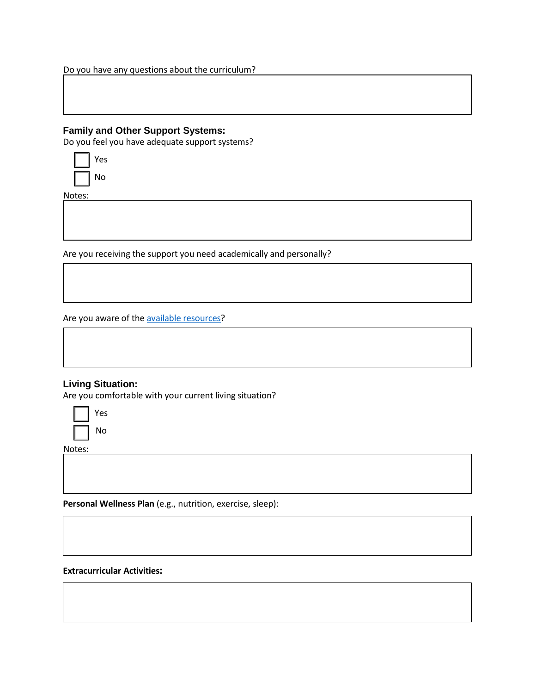Do you have any questions about the curriculum?

## **Family and Other Support Systems:**

Do you feel you have adequate support systems?

| Y<br>ρς |
|---------|
| Ō<br>۱  |

Notes:

Are you receiving the support you need academically and personally?

Are you aware of the [available resources?](http://www.uvm.edu/medicine/mededucation/documents/studentaffairs/AcademicSupportResources.pdf)

# **Living Situation:**

Are you comfortable with your current living situation?



Notes:

**Personal Wellness Plan** (e.g., nutrition, exercise, sleep):

**Extracurricular Activities:**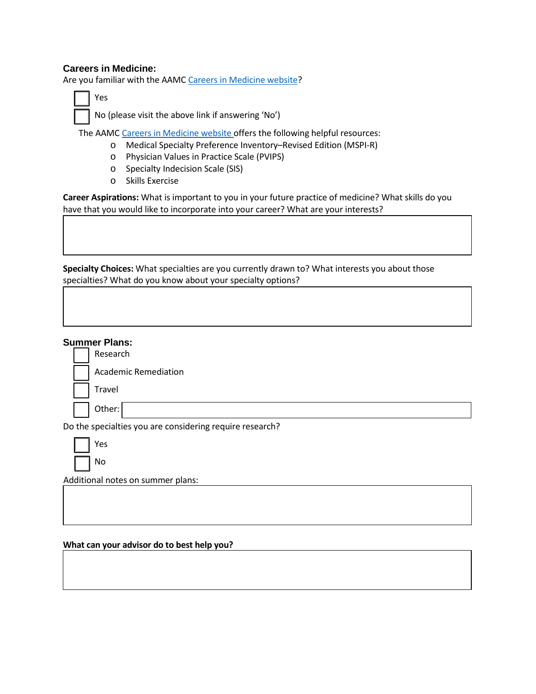# **Careers in Medicine:**

Are you familiar with the AAMC Careers in [Medicine](https://www.aamc.org/cim/) website?

□ No (please visit the above link if answering 'No')

The AAMC Careers in [Medicine](https://www.aamc.org/cim/) website offers the following helpful resources:

- o Medical Specialty Preference Inventory–Revised Edition (MSPI-R)
- o Physician Values in Practice Scale (PVIPS)
- o Specialty Indecision Scale (SIS)
- o Skills Exercise

**Career Aspirations:** What is important to you in your future practice of medicine? What skills do you have that you would like to incorporate into your career? What are your interests?

**Specialty Choices:** What specialties are you currently drawn to? What interests you about those specialties? What do you know about your specialty options?

| <b>Summer Plans:</b><br>Research                         |  |  |
|----------------------------------------------------------|--|--|
| <b>Academic Remediation</b>                              |  |  |
| Travel                                                   |  |  |
| Other:                                                   |  |  |
| Do the specialties you are considering require research? |  |  |
| Yes                                                      |  |  |
| No                                                       |  |  |
| Additional notes on summer plans:                        |  |  |
|                                                          |  |  |
|                                                          |  |  |

## **What can your advisor do to best help you?**